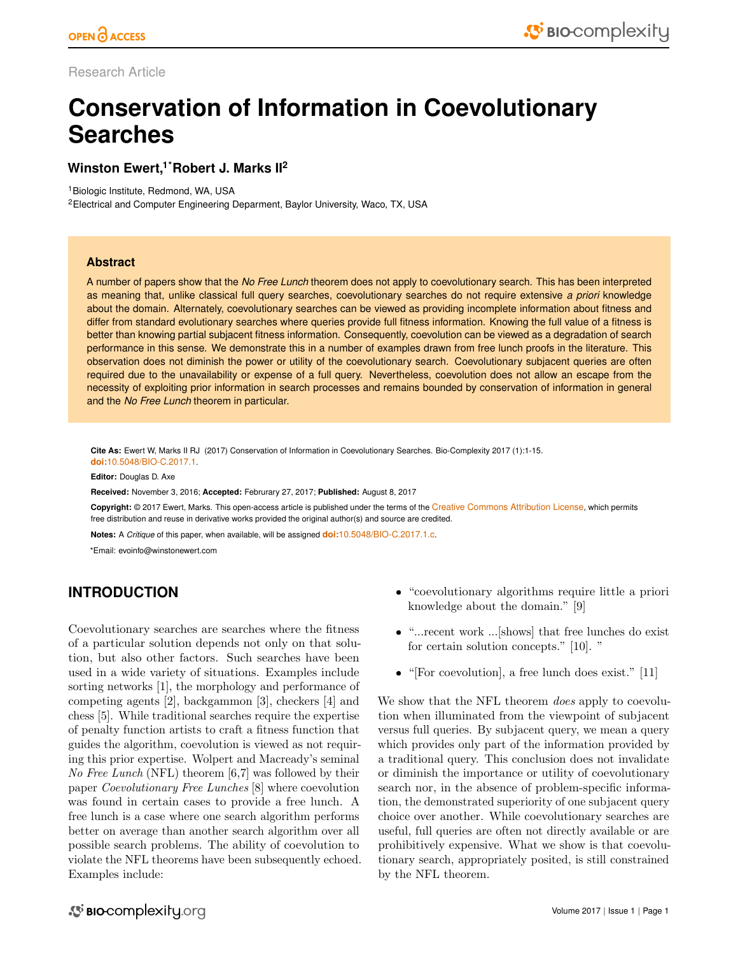Research Article

# **Conservation of Information in Coevolutionary Searches**

# **Winston Ewert,1\*Robert J. Marks II<sup>2</sup>**

<sup>1</sup>Biologic Institute, Redmond, WA, USA

<sup>2</sup>Electrical and Computer Engineering Deparment, Baylor University, Waco, TX, USA

## **Abstract**

A number of papers show that the *No Free Lunch* theorem does not apply to coevolutionary search. This has been interpreted as meaning that, unlike classical full query searches, coevolutionary searches do not require extensive *a priori* knowledge about the domain. Alternately, coevolutionary searches can be viewed as providing incomplete information about fitness and differ from standard evolutionary searches where queries provide full fitness information. Knowing the full value of a fitness is better than knowing partial subjacent fitness information. Consequently, coevolution can be viewed as a degradation of search performance in this sense. We demonstrate this in a number of examples drawn from free lunch proofs in the literature. This observation does not diminish the power or utility of the coevolutionary search. Coevolutionary subjacent queries are often required due to the unavailability or expense of a full query. Nevertheless, coevolution does not allow an escape from the necessity of exploiting prior information in search processes and remains bounded by conservation of information in general and the *No Free Lunch* theorem in particular.

**Cite As:** Ewert W, Marks II RJ (2017) Conservation of Information in Coevolutionary Searches. Bio-Complexity 2017 (1):1[-15.](#page-14-0) **doi:**[10.5048/BIO-C.2017.1](http://dx.doi.org/10.5048/BIO-C.2017.1).

**Editor:** Douglas D. Axe

**Received:** November 3, 2016; **Accepted:** Februrary 27, 2017; **Published:** August 8, 2017

**Copyright:** © 2017 Ewert, Marks. This open-access article is published under the terms of the [Creative Commons Attribution License](http://creativecommons.org/licenses/by/3.0/), which permits free distribution and reuse in derivative works provided the original author(s) and source are credited.

**Notes:** A *Critique* of this paper, when available, will be assigned **doi:**[10.5048/BIO-C.2017.1.c](http://dx.doi.org/10.5048/BIO-C.2017.1.c).

\*Email: evoinfo@winstonewert.com

# **INTRODUCTION**

Coevolutionary searches are searches where the fitness of a particular solution depends not only on that solution, but also other factors. Such searches have been used in a wide variety of situations. Examples include sorting networks [\[1\]](#page-13-0), the morphology and performance of competing agents [\[2\]](#page-13-1), backgammon [\[3\]](#page-13-2), checkers [\[4\]](#page-14-1) and chess [\[5\]](#page-14-2). While traditional searches require the expertise of penalty function artists to craft a fitness function that guides the algorithm, coevolution is viewed as not requiring this prior expertise. Wolpert and Macready's seminal No Free Lunch (NFL) theorem [\[6,](#page-14-3)[7\]](#page-14-4) was followed by their paper Coevolutionary Free Lunches [\[8\]](#page-14-5) where coevolution was found in certain cases to provide a free lunch. A free lunch is a case where one search algorithm performs better on average than another search algorithm over all possible search problems. The ability of coevolution to violate the NFL theorems have been subsequently echoed. Examples include:

- "coevolutionary algorithms require little a priori knowledge about the domain." [\[9\]](#page-14-6)
- $\bullet$  "...recent work ...[shows] that free lunches do exist for certain solution concepts." [\[10\]](#page-14-7). "
- $\bullet$  "[For coevolution], a free lunch does exist." [\[11\]](#page-14-8)

We show that the NFL theorem *does* apply to coevolution when illuminated from the viewpoint of subjacent versus full queries. By subjacent query, we mean a query which provides only part of the information provided by a traditional query. This conclusion does not invalidate or diminish the importance or utility of coevolutionary search nor, in the absence of problem-specific information, the demonstrated superiority of one subjacent query choice over another. While coevolutionary searches are useful, full queries are often not directly available or are prohibitively expensive. What we show is that coevolutionary search, appropriately posited, is still constrained by the NFL theorem.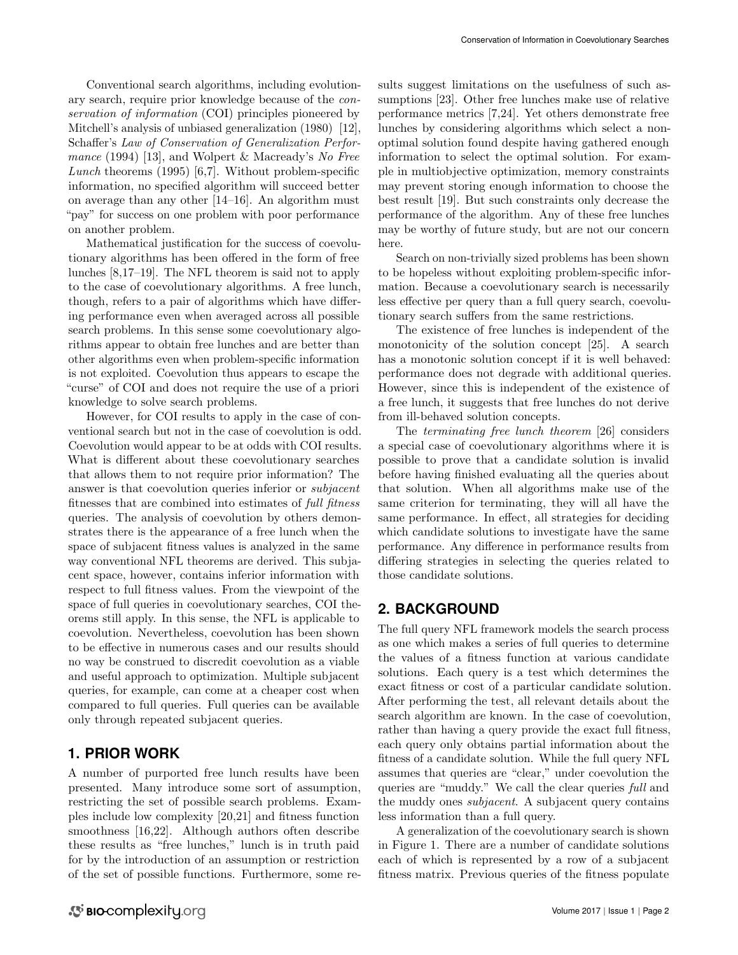Conventional search algorithms, including evolutionary search, require prior knowledge because of the conservation of information (COI) principles pioneered by Mitchell's analysis of unbiased generalization (1980) [\[12\]](#page-14-9), Schaffer's Law of Conservation of Generalization Perfor-mance (1994) [\[13\]](#page-14-10), and Wolpert & Macready's No Free Lunch theorems  $(1995)$  [\[6,](#page-14-3)[7\]](#page-14-4). Without problem-specific information, no specified algorithm will succeed better on average than any other [\[14–](#page-14-11)[16\]](#page-14-12). An algorithm must "pay" for success on one problem with poor performance on another problem.

Mathematical justification for the success of coevolutionary algorithms has been offered in the form of free lunches [\[8](#page-14-5)[,17](#page-14-13)[–19\]](#page-14-14). The NFL theorem is said not to apply to the case of coevolutionary algorithms. A free lunch, though, refers to a pair of algorithms which have differing performance even when averaged across all possible search problems. In this sense some coevolutionary algorithms appear to obtain free lunches and are better than other algorithms even when problem-specific information is not exploited. Coevolution thus appears to escape the "curse" of COI and does not require the use of a priori knowledge to solve search problems.

However, for COI results to apply in the case of conventional search but not in the case of coevolution is odd. Coevolution would appear to be at odds with COI results. What is different about these coevolutionary searches that allows them to not require prior information? The answer is that coevolution queries inferior or subjacent fitnesses that are combined into estimates of full fitness queries. The analysis of coevolution by others demonstrates there is the appearance of a free lunch when the space of subjacent fitness values is analyzed in the same way conventional NFL theorems are derived. This subjacent space, however, contains inferior information with respect to full fitness values. From the viewpoint of the space of full queries in coevolutionary searches, COI theorems still apply. In this sense, the NFL is applicable to coevolution. Nevertheless, coevolution has been shown to be effective in numerous cases and our results should no way be construed to discredit coevolution as a viable and useful approach to optimization. Multiple subjacent queries, for example, can come at a cheaper cost when compared to full queries. Full queries can be available only through repeated subjacent queries.

## **1. PRIOR WORK**

A number of purported free lunch results have been presented. Many introduce some sort of assumption, restricting the set of possible search problems. Examples include low complexity [\[20](#page-14-15)[,21\]](#page-14-16) and fitness function smoothness [\[16,](#page-14-12)[22\]](#page-14-17). Although authors often describe these results as "free lunches," lunch is in truth paid for by the introduction of an assumption or restriction of the set of possible functions. Furthermore, some results suggest limitations on the usefulness of such assumptions [\[23\]](#page-14-18). Other free lunches make use of relative performance metrics [\[7](#page-14-4)[,24\]](#page-14-19). Yet others demonstrate free lunches by considering algorithms which select a nonoptimal solution found despite having gathered enough information to select the optimal solution. For example in multiobjective optimization, memory constraints may prevent storing enough information to choose the best result [\[19\]](#page-14-14). But such constraints only decrease the performance of the algorithm. Any of these free lunches may be worthy of future study, but are not our concern here.

Search on non-trivially sized problems has been shown to be hopeless without exploiting problem-specific information. Because a coevolutionary search is necessarily less effective per query than a full query search, coevolutionary search suffers from the same restrictions.

The existence of free lunches is independent of the monotonicity of the solution concept [\[25\]](#page-14-20). A search has a monotonic solution concept if it is well behaved: performance does not degrade with additional queries. However, since this is independent of the existence of a free lunch, it suggests that free lunches do not derive from ill-behaved solution concepts.

The terminating free lunch theorem [\[26\]](#page-14-21) considers a special case of coevolutionary algorithms where it is possible to prove that a candidate solution is invalid before having finished evaluating all the queries about that solution. When all algorithms make use of the same criterion for terminating, they will all have the same performance. In effect, all strategies for deciding which candidate solutions to investigate have the same performance. Any difference in performance results from differing strategies in selecting the queries related to those candidate solutions.

# **2. BACKGROUND**

The full query NFL framework models the search process as one which makes a series of full queries to determine the values of a fitness function at various candidate solutions. Each query is a test which determines the exact fitness or cost of a particular candidate solution. After performing the test, all relevant details about the search algorithm are known. In the case of coevolution, rather than having a query provide the exact full fitness, each query only obtains partial information about the fitness of a candidate solution. While the full query NFL assumes that queries are "clear," under coevolution the queries are "muddy." We call the clear queries full and the muddy ones *subjacent*. A subjacent query contains less information than a full query.

A generalization of the coevolutionary search is shown in Figure [1.](#page-2-0) There are a number of candidate solutions each of which is represented by a row of a subjacent fitness matrix. Previous queries of the fitness populate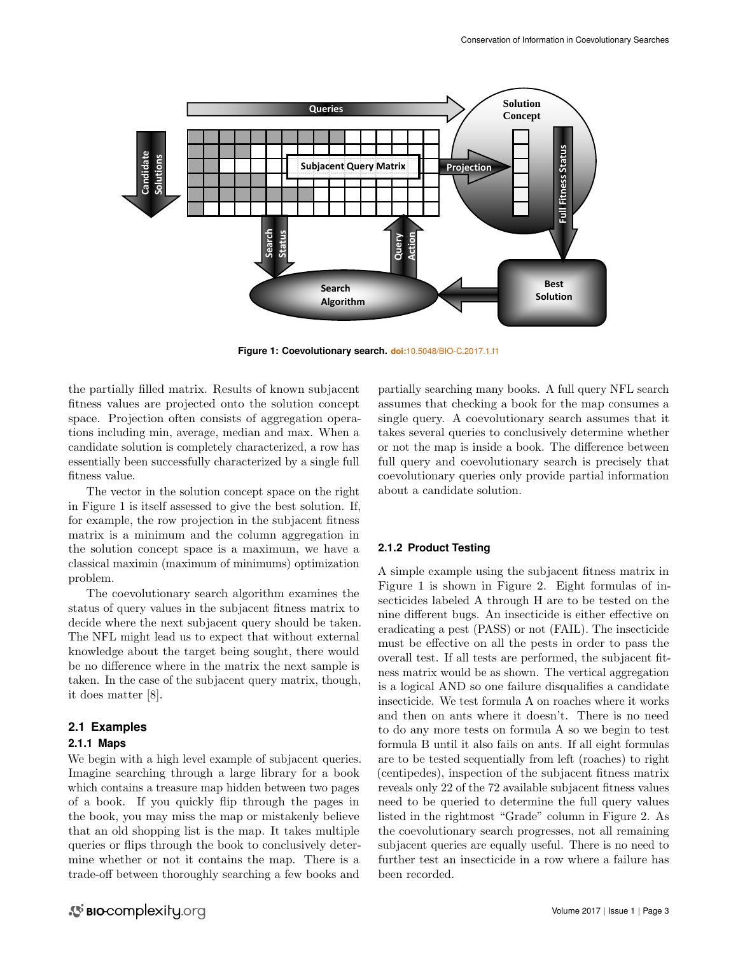

<span id="page-2-0"></span>**Figure 1: Coevolutionary search. doi:**[10.5048/BIO-C.2017.1.f1](http://dx.doi.org/10.5048/BIO-C.2017.1.f1)

the partially filled matrix. Results of known subjacent fitness values are projected onto the solution concept space. Projection often consists of aggregation operations including min, average, median and max. When a candidate solution is completely characterized, a row has essentially been successfully characterized by a single full fitness value.

The vector in the solution concept space on the right in Figure [1](#page-2-0) is itself assessed to give the best solution. If, for example, the row projection in the subjacent fitness matrix is a minimum and the column aggregation in the solution concept space is a maximum, we have a classical maximin (maximum of minimums) optimization problem.

The coevolutionary search algorithm examines the status of query values in the subjacent fitness matrix to decide where the next subjacent query should be taken. The NFL might lead us to expect that without external knowledge about the target being sought, there would be no difference where in the matrix the next sample is taken. In the case of the subjacent query matrix, though, it does matter [\[8\]](#page-14-5).

## **2.1 Examples**

#### **2.1.1 Maps**

We begin with a high level example of subjacent queries. Imagine searching through a large library for a book which contains a treasure map hidden between two pages of a book. If you quickly flip through the pages in the book, you may miss the map or mistakenly believe that an old shopping list is the map. It takes multiple queries or flips through the book to conclusively determine whether or not it contains the map. There is a trade-off between thoroughly searching a few books and

partially searching many books. A full query NFL search assumes that checking a book for the map consumes a single query. A coevolutionary search assumes that it takes several queries to conclusively determine whether or not the map is inside a book. The difference between full query and coevolutionary search is precisely that coevolutionary queries only provide partial information about a candidate solution.

#### <span id="page-2-1"></span>**2.1.2 Product Testing**

<span id="page-2-2"></span>A simple example using the subjacent fitness matrix in Figure [1](#page-2-0) is shown in Figure [2.](#page-3-0) Eight formulas of insecticides labeled A through H are to be tested on the nine different bugs. An insecticide is either effective on eradicating a pest (PASS) or not (FAIL). The insecticide must be effective on all the pests in order to pass the overall test. If all tests are performed, the subjacent fitness matrix would be as shown. The vertical aggregation is a logical AND so one failure disqualifies a candidate insecticide. We test formula A on roaches where it works and then on ants where it doesn't. There is no need to do any more tests on formula A so we begin to test formula B until it also fails on ants. If all eight formulas are to be tested sequentially from left (roaches) to right (centipedes), inspection of the subjacent fitness matrix reveals only 22 of the 72 available subjacent fitness values need to be queried to determine the full query values listed in the rightmost "Grade" column in Figure [2.](#page-3-0) As the coevolutionary search progresses, not all remaining subjacent queries are equally useful. There is no need to further test an insecticide in a row where a failure has been recorded.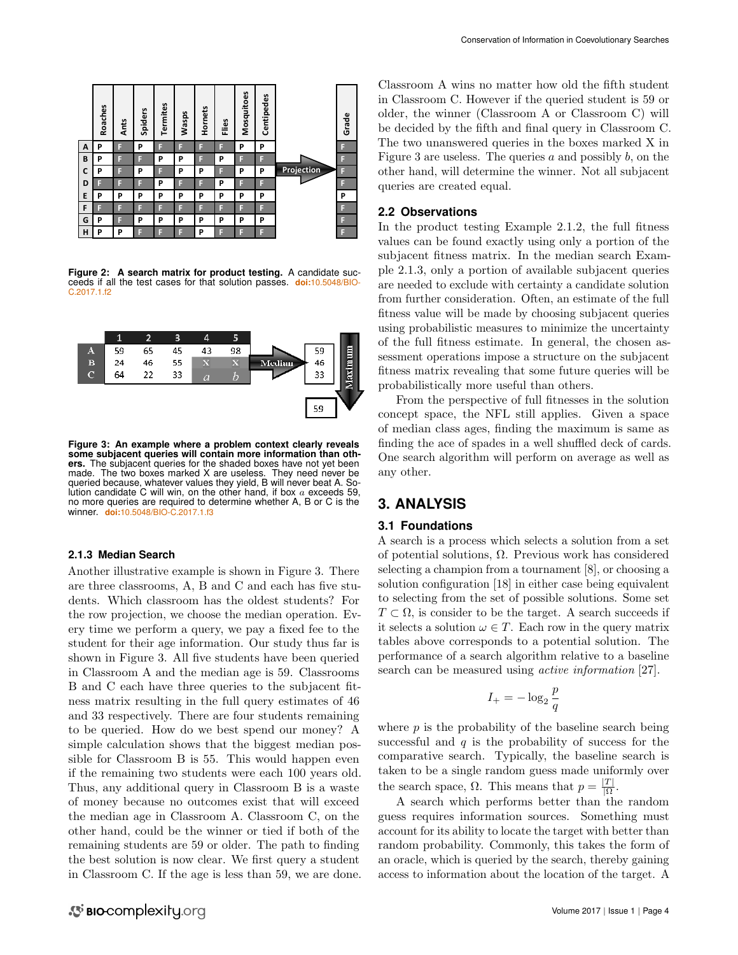

<span id="page-3-0"></span>**Figure 2: A search matrix for product testing.** A candidate succeeds if all the test cases for that solution passes. **doi:**[10.5048/BIO-](http://dx.doi.org/10.5048/BIO-C.2017.1.f2)[C.2017.1.f2](http://dx.doi.org/10.5048/BIO-C.2017.1.f2)



<span id="page-3-1"></span>lution candidate C will win, on the other hand, if box a exceeds 59, **Figure 3: An example where a problem context clearly reveals some subjacent queries will contain more information than others.** The subjacent queries for the shaded boxes have not yet been made. The two boxes marked X are useless. They need never be queried because, whatever values they yield, B will never beat A. Sono more queries are required to determine whether A, B or C is the winner. **doi:**[10.5048/BIO-C.2017.1.f3](http://dx.doi.org/10.5048/BIO-C.2017.1.f3)

#### **2.1.3 Median Search**

Another illustrative example is shown in Figure [3.](#page-3-1) There are three classrooms, A, B and C and each has five students. Which classroom has the oldest students? For the row projection, we choose the median operation. Every time we perform a query, we pay a fixed fee to the student for their age information. Our study thus far is shown in Figure [3.](#page-3-1) All five students have been queried in Classroom A and the median age is 59. Classrooms B and C each have three queries to the subjacent fitness matrix resulting in the full query estimates of 46 and 33 respectively. There are four students remaining to be queried. How do we best spend our money? A simple calculation shows that the biggest median possible for Classroom B is 55. This would happen even if the remaining two students were each 100 years old. Thus, any additional query in Classroom B is a waste of money because no outcomes exist that will exceed the median age in Classroom A. Classroom C, on the other hand, could be the winner or tied if both of the remaining students are 59 or older. The path to finding the best solution is now clear. We first query a student in Classroom C. If the age is less than 59, we are done.

Classroom A wins no matter how old the fifth student in Classroom C. However if the queried student is 59 or older, the winner (Classroom A or Classroom C) will be decided by the fifth and final query in Classroom C. The two unanswered queries in the boxes marked X in Figure [3](#page-3-1) are useless. The queries  $a$  and possibly  $b$ , on the other hand, will determine the winner. Not all subjacent queries are created equal.

#### **2.2 Observations**

In the product testing Example [2.1.2,](#page-2-1) the full fitness values can be found exactly using only a portion of the subjacent fitness matrix. In the median search Example [2.1.3,](#page-2-2) only a portion of available subjacent queries are needed to exclude with certainty a candidate solution from further consideration. Often, an estimate of the full fitness value will be made by choosing subjacent queries using probabilistic measures to minimize the uncertainty of the full fitness estimate. In general, the chosen assessment operations impose a structure on the subjacent fitness matrix revealing that some future queries will be probabilistically more useful than others.

From the perspective of full fitnesses in the solution concept space, the NFL still applies. Given a space of median class ages, finding the maximum is same as finding the ace of spades in a well shuffled deck of cards. One search algorithm will perform on average as well as any other.

# **3. ANALYSIS**

#### <span id="page-3-2"></span>**3.1 Foundations**

A search is a process which selects a solution from a set of potential solutions,  $\Omega$ . Previous work has considered selecting a champion from a tournament [\[8\]](#page-14-5), or choosing a solution configuration [\[18\]](#page-14-22) in either case being equivalent to selecting from the set of possible solutions. Some set  $T \subset \Omega$ , is consider to be the target. A search succeeds if it selects a solution  $\omega \in T$ . Each row in the query matrix tables above corresponds to a potential solution. The performance of a search algorithm relative to a baseline search can be measured using *active information* [\[27\]](#page-14-23).

$$
I_+=-\log_2\frac{p}{q}
$$

where  $p$  is the probability of the baseline search being successful and  $q$  is the probability of success for the comparative search. Typically, the baseline search is taken to be a single random guess made uniformly over the search space,  $\Omega$ . This means that  $p = \frac{|T|}{|Q|}$  $\frac{|I|}{|\Omega}$ .

A search which performs better than the random guess requires information sources. Something must account for its ability to locate the target with better than random probability. Commonly, this takes the form of an oracle, which is queried by the search, thereby gaining access to information about the location of the target. A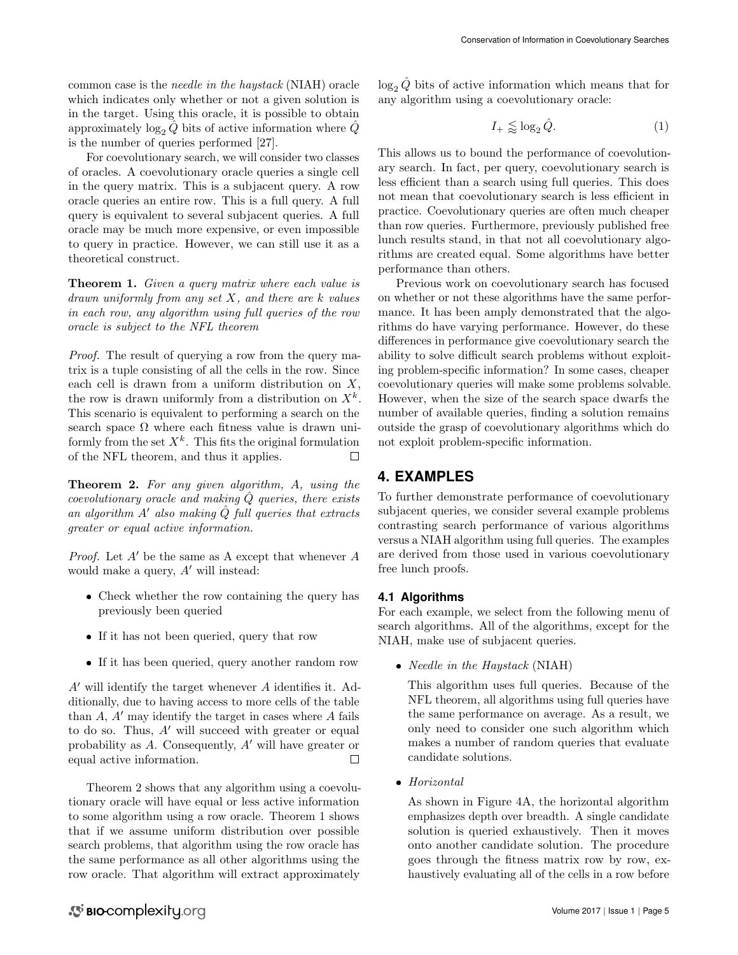common case is the needle in the haystack (NIAH) oracle which indicates only whether or not a given solution is in the target. Using this oracle, it is possible to obtain approximately  $\log_2 \hat{Q}$  bits of active information where  $\hat{Q}$ is the number of queries performed [\[27\]](#page-14-23).

For coevolutionary search, we will consider two classes of oracles. A coevolutionary oracle queries a single cell in the query matrix. This is a subjacent query. A row oracle queries an entire row. This is a full query. A full query is equivalent to several subjacent queries. A full oracle may be much more expensive, or even impossible to query in practice. However, we can still use it as a theoretical construct.

<span id="page-4-1"></span>Theorem 1. Given a query matrix where each value is  $d$ rawn uniformly from any set  $X$ , and there are  $k$  values in each row, any algorithm using full queries of the row oracle is subject to the NFL theorem

Proof. The result of querying a row from the query matrix is a tuple consisting of all the cells in the row. Since each cell is drawn from a uniform distribution on  $X$ , the row is drawn uniformly from a distribution on  $X^k$ . This scenario is equivalent to performing a search on the search space  $\Omega$  where each fitness value is drawn uniformly from the set  $X^k$ . This fits the original formulation of the NFL theorem, and thus it applies.  $\Box$ 

<span id="page-4-0"></span>Theorem 2. For any given algorithm, A, using the  $coevolutionary\ oracle\ and\ making\ Q\ queries, there exists$ an algorithm  $A'$  also making  $\tilde{Q}$  full queries that extracts greater or equal active information.

*Proof.* Let  $A'$  be the same as A except that whenever  $A$ would make a query,  $A'$  will instead:

- Check whether the row containing the query has previously been queried
- If it has not been queried, query that row
- If it has been queried, query another random row

 $A'$  will identify the target whenever A identifies it. Additionally, due to having access to more cells of the table than  $A$ ,  $A'$  may identify the target in cases where  $A$  fails to do so. Thus,  $A'$  will succeed with greater or equal probability as  $A$ . Consequently,  $A'$  will have greater or equal active information.  $\Box$ 

Theorem [2](#page-4-0) shows that any algorithm using a coevolutionary oracle will have equal or less active information to some algorithm using a row oracle. Theorem [1](#page-4-1) shows that if we assume uniform distribution over possible search problems, that algorithm using the row oracle has the same performance as all other algorithms using the row oracle. That algorithm will extract approximately

 $\log_2 Q$  bits of active information which means that for any algorithm using a coevolutionary oracle:

$$
I_{+} \lessapprox \log_2 \hat{Q}.\tag{1}
$$

This allows us to bound the performance of coevolutionary search. In fact, per query, coevolutionary search is less efficient than a search using full queries. This does not mean that coevolutionary search is less efficient in practice. Coevolutionary queries are often much cheaper than row queries. Furthermore, previously published free lunch results stand, in that not all coevolutionary algorithms are created equal. Some algorithms have better performance than others.

Previous work on coevolutionary search has focused on whether or not these algorithms have the same performance. It has been amply demonstrated that the algorithms do have varying performance. However, do these differences in performance give coevolutionary search the ability to solve difficult search problems without exploiting problem-specific information? In some cases, cheaper coevolutionary queries will make some problems solvable. However, when the size of the search space dwarfs the number of available queries, finding a solution remains outside the grasp of coevolutionary algorithms which do not exploit problem-specific information.

## **4. EXAMPLES**

To further demonstrate performance of coevolutionary subjacent queries, we consider several example problems contrasting search performance of various algorithms versus a NIAH algorithm using full queries. The examples are derived from those used in various coevolutionary free lunch proofs.

## **4.1 Algorithms**

For each example, we select from the following menu of search algorithms. All of the algorithms, except for the NIAH, make use of subjacent queries.

• Needle in the Haystack (NIAH)

This algorithm uses full queries. Because of the NFL theorem, all algorithms using full queries have the same performance on average. As a result, we only need to consider one such algorithm which makes a number of random queries that evaluate candidate solutions.

Horizontal

As shown in Figure [4A](#page-5-0), the horizontal algorithm emphasizes depth over breadth. A single candidate solution is queried exhaustively. Then it moves onto another candidate solution. The procedure goes through the fitness matrix row by row, exhaustively evaluating all of the cells in a row before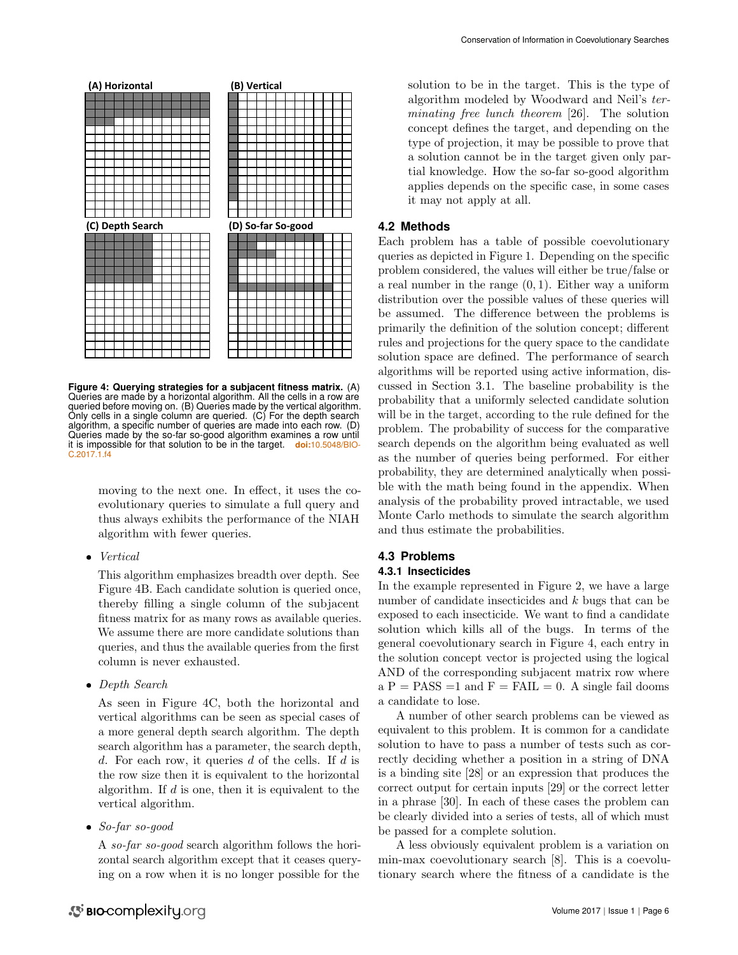

<span id="page-5-0"></span>**Figure 4: Querying strategies for a subjacent fitness matrix.** (A) Queries are made by a horizontal algorithm. All the cells in a row are queried before moving on. (B) Queries made by the vertical algorithm. Only cells in a single column are queried. (C) For the depth search algorithm, a specific number of queries are made into each row. (D) Queries made by the so-far so-good algorithm examines a row until it is impossible for that solution to be in the target. doi:10.5048/B [C.2017.1.f4](http://dx.doi.org/10.5048/BIO-C.2017.1.f4)

moving to the next one. In effect, it uses the coevolutionary queries to simulate a full query and thus always exhibits the performance of the NIAH algorithm with fewer queries.

 $\bullet$  Vertical

This algorithm emphasizes breadth over depth. See Figure [4B](#page-5-0). Each candidate solution is queried once, thereby filling a single column of the subjacent fitness matrix for as many rows as available queries. We assume there are more candidate solutions than queries, and thus the available queries from the first column is never exhausted.

• Depth Search

As seen in Figure [4C](#page-5-0), both the horizontal and vertical algorithms can be seen as special cases of a more general depth search algorithm. The depth search algorithm has a parameter, the search depth, d. For each row, it queries d of the cells. If d is the row size then it is equivalent to the horizontal algorithm. If  $d$  is one, then it is equivalent to the vertical algorithm.

So-far so-good

A so-far so-good search algorithm follows the horizontal search algorithm except that it ceases querying on a row when it is no longer possible for the

solution to be in the target. This is the type of algorithm modeled by Woodward and Neil's terminating free lunch theorem [\[26\]](#page-14-21). The solution concept defines the target, and depending on the type of projection, it may be possible to prove that a solution cannot be in the target given only partial knowledge. How the so-far so-good algorithm applies depends on the specific case, in some cases it may not apply at all.

## **4.2 Methods**

Each problem has a table of possible coevolutionary queries as depicted in Figure [1.](#page-2-0) Depending on the specific problem considered, the values will either be true/false or a real number in the range  $(0, 1)$ . Either way a uniform distribution over the possible values of these queries will be assumed. The difference between the problems is primarily the definition of the solution concept; different rules and projections for the query space to the candidate solution space are defined. The performance of search algorithms will be reported using active information, discussed in Section [3.1.](#page-3-2) The baseline probability is the probability that a uniformly selected candidate solution will be in the target, according to the rule defined for the problem. The probability of success for the comparative search depends on the algorithm being evaluated as well as the number of queries being performed. For either probability, they are determined analytically when possible with the math being found in the appendix. When analysis of the probability proved intractable, we used Monte Carlo methods to simulate the search algorithm and thus estimate the probabilities.

## **4.3 Problems**

## **4.3.1 Insecticides**

In the example represented in Figure [2,](#page-3-0) we have a large number of candidate insecticides and k bugs that can be exposed to each insecticide. We want to find a candidate solution which kills all of the bugs. In terms of the general coevolutionary search in Figure [4,](#page-5-0) each entry in the solution concept vector is projected using the logical AND of the corresponding subjacent matrix row where  $a P = PASS = 1$  and  $F = FAIL = 0$ . A single fail dooms a candidate to lose.

A number of other search problems can be viewed as equivalent to this problem. It is common for a candidate solution to have to pass a number of tests such as correctly deciding whether a position in a string of DNA is a binding site [\[28\]](#page-14-24) or an expression that produces the correct output for certain inputs [\[29\]](#page-14-25) or the correct letter in a phrase [\[30\]](#page-14-26). In each of these cases the problem can be clearly divided into a series of tests, all of which must be passed for a complete solution.

A less obviously equivalent problem is a variation on min-max coevolutionary search [\[8\]](#page-14-5). This is a coevolutionary search where the fitness of a candidate is the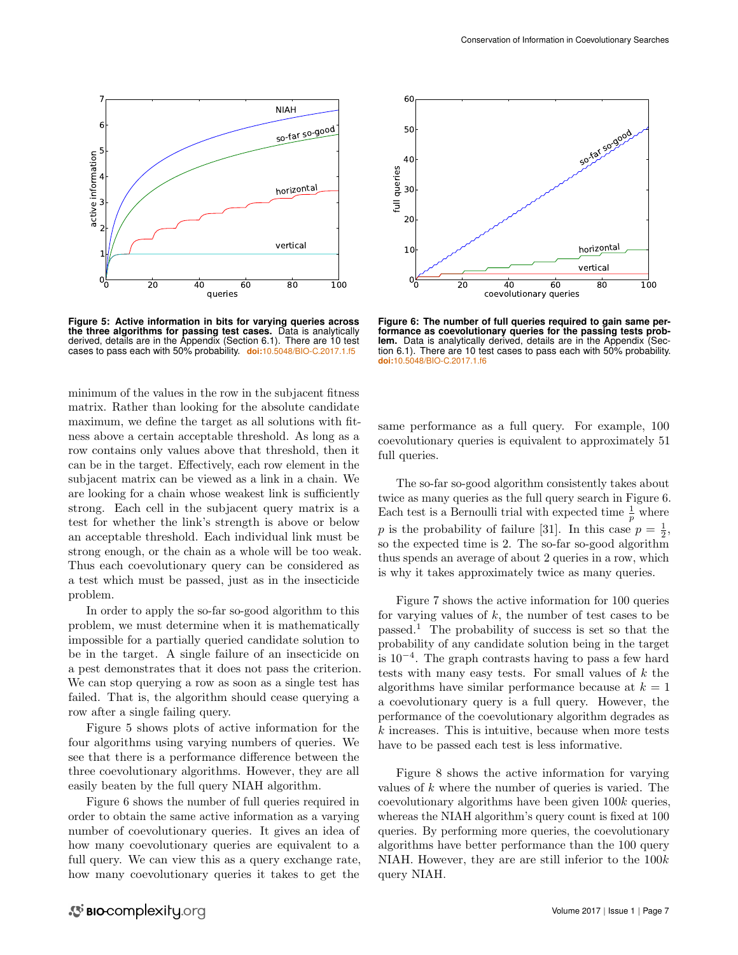

<span id="page-6-0"></span>**Figure 5: Active information in bits for varying queries across the three algorithms for passing test cases.** Data is analytically derived, details are in the Appendix (Section [6.1\)](#page-10-0). There are 10 test cases to pass each with 50% probability. **doi:**[10.5048/BIO-C.2017.1.f5](http://dx.doi.org/10.5048/BIO-C.2017.1.f5)

minimum of the values in the row in the subjacent fitness matrix. Rather than looking for the absolute candidate maximum, we define the target as all solutions with fitness above a certain acceptable threshold. As long as a row contains only values above that threshold, then it can be in the target. Effectively, each row element in the subjacent matrix can be viewed as a link in a chain. We are looking for a chain whose weakest link is sufficiently strong. Each cell in the subjacent query matrix is a test for whether the link's strength is above or below an acceptable threshold. Each individual link must be strong enough, or the chain as a whole will be too weak. Thus each coevolutionary query can be considered as a test which must be passed, just as in the insecticide problem.

In order to apply the so-far so-good algorithm to this problem, we must determine when it is mathematically impossible for a partially queried candidate solution to be in the target. A single failure of an insecticide on a pest demonstrates that it does not pass the criterion. We can stop querying a row as soon as a single test has failed. That is, the algorithm should cease querying a row after a single failing query.

Figure [5](#page-6-0) shows plots of active information for the four algorithms using varying numbers of queries. We see that there is a performance difference between the three coevolutionary algorithms. However, they are all easily beaten by the full query NIAH algorithm.

Figure [6](#page-6-1) shows the number of full queries required in order to obtain the same active information as a varying number of coevolutionary queries. It gives an idea of how many coevolutionary queries are equivalent to a full query. We can view this as a query exchange rate, how many coevolutionary queries it takes to get the



<span id="page-6-1"></span>**Figure 6: The number of full queries required to gain same performance as coevolutionary queries for the passing tests problem.** Data is analytically derived, details are in the Appendix (Sec-tion [6.1\)](#page-10-0). There are 10 test cases to pass each with 50% probability. **doi:**[10.5048/BIO-C.2017.1.f6](http://dx.doi.org/10.5048/BIO-C.2017.1.f6)

same performance as a full query. For example, 100 coevolutionary queries is equivalent to approximately 51 full queries.

The so-far so-good algorithm consistently takes about twice as many queries as the full query search in Figure [6.](#page-6-1) Each test is a Bernoulli trial with expected time  $\frac{1}{p}$  where p is the probability of failure [\[31\]](#page-14-27). In this case  $p = \frac{1}{2}$ , so the expected time is 2. The so-far so-good algorithm thus spends an average of about 2 queries in a row, which is why it takes approximately twice as many queries.

Figure [7](#page-7-0) shows the active information for 100 queries for varying values of  $k$ , the number of test cases to be passed.[1](#page-7-1) The probability of success is set so that the probability of any candidate solution being in the target is 10<sup>−</sup><sup>4</sup> . The graph contrasts having to pass a few hard tests with many easy tests. For small values of  $k$  the algorithms have similar performance because at  $k = 1$ a coevolutionary query is a full query. However, the performance of the coevolutionary algorithm degrades as  $k$  increases. This is intuitive, because when more tests have to be passed each test is less informative.

Figure [8](#page-7-2) shows the active information for varying values of  $k$  where the number of queries is varied. The coevolutionary algorithms have been given  $100k$  queries, whereas the NIAH algorithm's query count is fixed at 100 queries. By performing more queries, the coevolutionary algorithms have better performance than the 100 query NIAH. However, they are are still inferior to the  $100k$ query NIAH.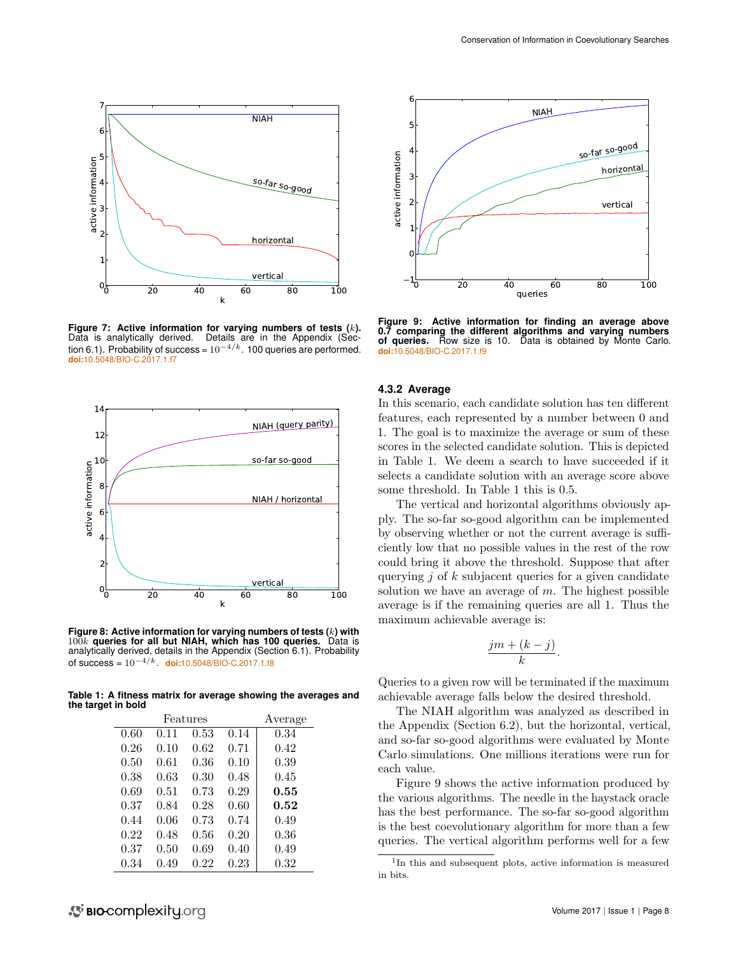

<span id="page-7-0"></span>**Figure 7: Active information for varying numbers of tests (**k**).** Data is analytically derived. Details are in the Appendix (Sec-tion [6.1\)](#page-10-0). Probability of success =  $10^{-4/k}$ . 100 queries are performed. **doi:**[10.5048/BIO-C.2017.1.f7](http://dx.doi.org/10.5048/BIO-C.2017.1.f7)



<span id="page-7-2"></span>**Figure 8: Active information for varying numbers of tests (**k**) with** 100k **queries for all but NIAH, which has 100 queries.** Data is analytically derived, details in the Appendix (Section [6.1\)](#page-10-0). Probability of success = 10−4/k. **doi:**[10.5048/BIO-C.2017.1.f8](http://dx.doi.org/10.5048/BIO-C.2017.1.f8)

**Table 1: A fitness matrix for average showing the averages and the target in bold**

<span id="page-7-3"></span>

| Features |      |      |      | Average |
|----------|------|------|------|---------|
| 0.60     | 0.11 | 0.53 | 0.14 | 0.34    |
| 0.26     | 0.10 | 0.62 | 0.71 | 0.42    |
| 0.50     | 0.61 | 0.36 | 0.10 | 0.39    |
| 0.38     | 0.63 | 0.30 | 0.48 | 0.45    |
| 0.69     | 0.51 | 0.73 | 0.29 | 0.55    |
| 0.37     | 0.84 | 0.28 | 0.60 | 0.52    |
| 0.44     | 0.06 | 0.73 | 0.74 | 0.49    |
| 0.22     | 0.48 | 0.56 | 0.20 | 0.36    |
| 0.37     | 0.50 | 0.69 | 0.40 | 0.49    |
| 0.34     | 0.49 | 0.22 | 0.23 | 0.32    |



<span id="page-7-4"></span>**Figure 9: Active information for finding an average above 0.7 comparing the different algorithms and varying numbers of queries.** Row size is 10. Data is obtained by Monte Carlo. **doi:**[10.5048/BIO-C.2017.1.f9](http://dx.doi.org/10.5048/BIO-C.2017.1.f9)

#### **4.3.2 Average**

In this scenario, each candidate solution has ten different features, each represented by a number between 0 and 1. The goal is to maximize the average or sum of these scores in the selected candidate solution. This is depicted in Table [1.](#page-7-3) We deem a search to have succeeded if it selects a candidate solution with an average score above some threshold. In Table [1](#page-7-3) this is 0.5.

The vertical and horizontal algorithms obviously apply. The so-far so-good algorithm can be implemented by observing whether or not the current average is sufficiently low that no possible values in the rest of the row could bring it above the threshold. Suppose that after querying  $j$  of  $k$  subjacent queries for a given candidate solution we have an average of  $m$ . The highest possible average is if the remaining queries are all 1. Thus the maximum achievable average is:

$$
\frac{jm+(k-j)}{k}.
$$

Queries to a given row will be terminated if the maximum achievable average falls below the desired threshold.

The NIAH algorithm was analyzed as described in the Appendix (Section [6.2\)](#page-12-0), but the horizontal, vertical, and so-far so-good algorithms were evaluated by Monte Carlo simulations. One millions iterations were run for each value.

Figure [9](#page-7-4) shows the active information produced by the various algorithms. The needle in the haystack oracle has the best performance. The so-far so-good algorithm is the best coevolutionary algorithm for more than a few queries. The vertical algorithm performs well for a few

<span id="page-7-1"></span><sup>1</sup> In this and subsequent plots, active information is measured in bits.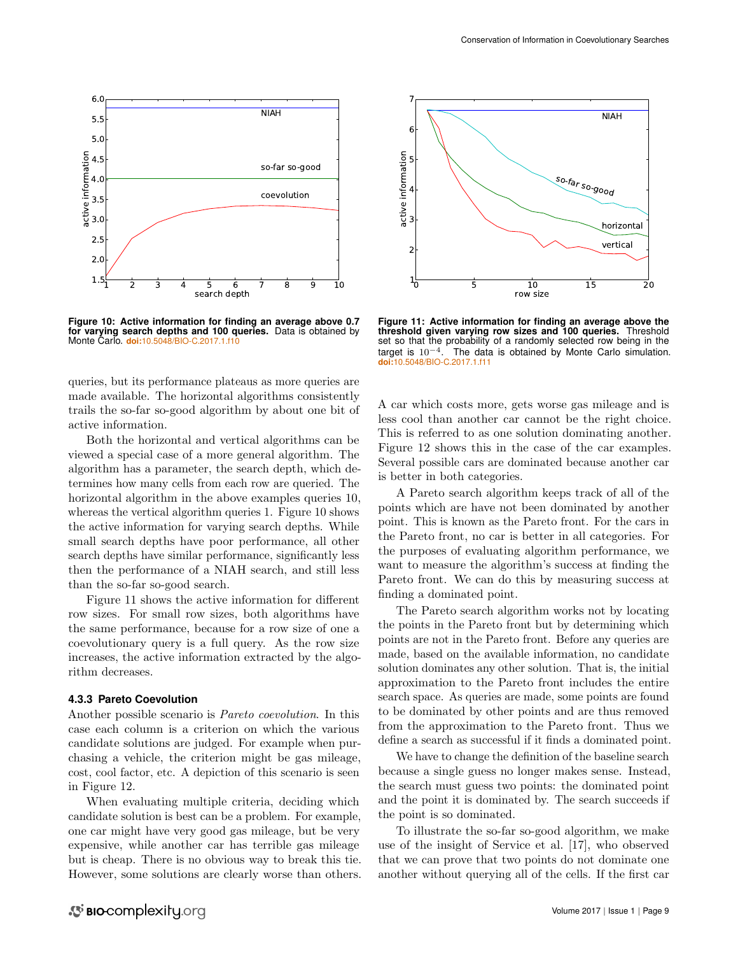

<span id="page-8-0"></span>**Figure 10: Active information for finding an average above 0.7 for varying search depths and 100 queries.** Data is obtained by Monte Carlo. **doi:**[10.5048/BIO-C.2017.1.f10](http://dx.doi.org/10.5048/BIO-C.2017.1.f10)

queries, but its performance plateaus as more queries are made available. The horizontal algorithms consistently trails the so-far so-good algorithm by about one bit of active information.

Both the horizontal and vertical algorithms can be viewed a special case of a more general algorithm. The algorithm has a parameter, the search depth, which determines how many cells from each row are queried. The horizontal algorithm in the above examples queries 10, whereas the vertical algorithm queries 1. Figure [10](#page-8-0) shows the active information for varying search depths. While small search depths have poor performance, all other search depths have similar performance, significantly less then the performance of a NIAH search, and still less than the so-far so-good search.

Figure [11](#page-8-1) shows the active information for different row sizes. For small row sizes, both algorithms have the same performance, because for a row size of one a coevolutionary query is a full query. As the row size increases, the active information extracted by the algorithm decreases.

#### **4.3.3 Pareto Coevolution**

Another possible scenario is Pareto coevolution. In this case each column is a criterion on which the various candidate solutions are judged. For example when purchasing a vehicle, the criterion might be gas mileage, cost, cool factor, etc. A depiction of this scenario is seen in Figure [12.](#page-9-0)

When evaluating multiple criteria, deciding which candidate solution is best can be a problem. For example, one car might have very good gas mileage, but be very expensive, while another car has terrible gas mileage but is cheap. There is no obvious way to break this tie. However, some solutions are clearly worse than others.



<span id="page-8-1"></span>**Figure 11: Active information for finding an average above the threshold given varying row sizes and 100 queries.** Threshold set so that the probability of a randomly selected row being in the target is  $10^{-4}$ . The data is obtained by Monte Carlo simulation. **doi:**[10.5048/BIO-C.2017.1.f11](http://dx.doi.org/10.5048/BIO-C.2017.1.f11)

A car which costs more, gets worse gas mileage and is less cool than another car cannot be the right choice. This is referred to as one solution dominating another. Figure [12](#page-9-0) shows this in the case of the car examples. Several possible cars are dominated because another car is better in both categories.

A Pareto search algorithm keeps track of all of the points which are have not been dominated by another point. This is known as the Pareto front. For the cars in the Pareto front, no car is better in all categories. For the purposes of evaluating algorithm performance, we want to measure the algorithm's success at finding the Pareto front. We can do this by measuring success at finding a dominated point.

The Pareto search algorithm works not by locating the points in the Pareto front but by determining which points are not in the Pareto front. Before any queries are made, based on the available information, no candidate solution dominates any other solution. That is, the initial approximation to the Pareto front includes the entire search space. As queries are made, some points are found to be dominated by other points and are thus removed from the approximation to the Pareto front. Thus we define a search as successful if it finds a dominated point.

We have to change the definition of the baseline search because a single guess no longer makes sense. Instead, the search must guess two points: the dominated point and the point it is dominated by. The search succeeds if the point is so dominated.

To illustrate the so-far so-good algorithm, we make use of the insight of Service et al. [\[17\]](#page-14-13), who observed that we can prove that two points do not dominate one another without querying all of the cells. If the first car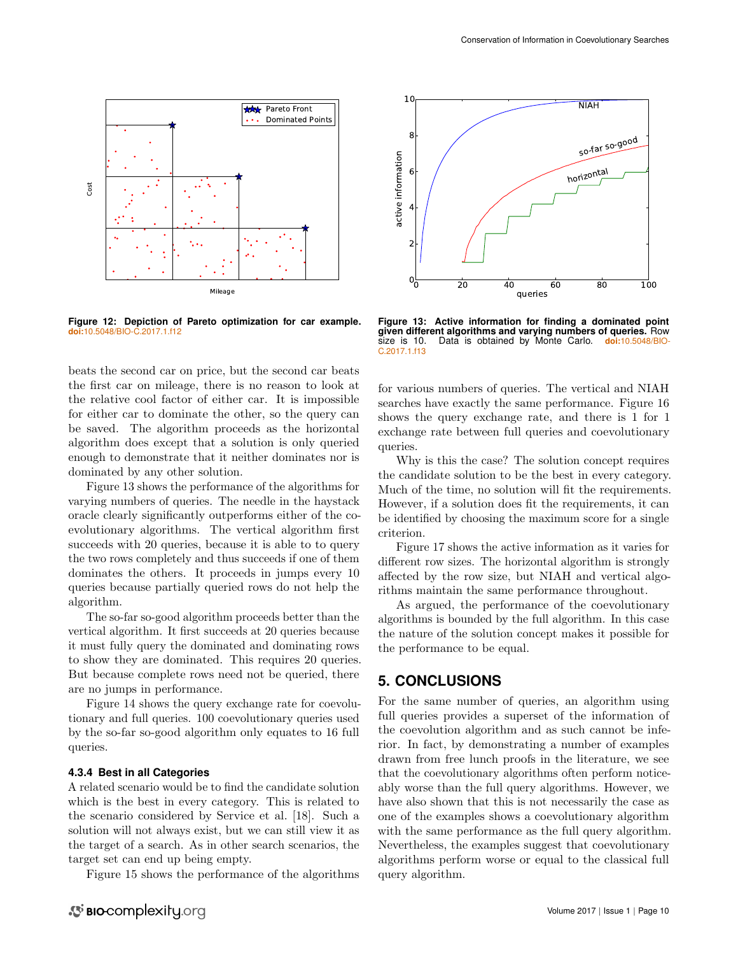

<span id="page-9-0"></span>**Figure 12: Depiction of Pareto optimization for car example. doi:**[10.5048/BIO-C.2017.1.f12](http://dx.doi.org/10.5048/BIO-C.2017.1.f12)

beats the second car on price, but the second car beats the first car on mileage, there is no reason to look at the relative cool factor of either car. It is impossible for either car to dominate the other, so the query can be saved. The algorithm proceeds as the horizontal algorithm does except that a solution is only queried enough to demonstrate that it neither dominates nor is dominated by any other solution.

Figure [13](#page-9-1) shows the performance of the algorithms for varying numbers of queries. The needle in the haystack oracle clearly significantly outperforms either of the coevolutionary algorithms. The vertical algorithm first succeeds with 20 queries, because it is able to to query the two rows completely and thus succeeds if one of them dominates the others. It proceeds in jumps every 10 queries because partially queried rows do not help the algorithm.

The so-far so-good algorithm proceeds better than the vertical algorithm. It first succeeds at 20 queries because it must fully query the dominated and dominating rows to show they are dominated. This requires 20 queries. But because complete rows need not be queried, there are no jumps in performance.

Figure [14](#page-10-1) shows the query exchange rate for coevolutionary and full queries. 100 coevolutionary queries used by the so-far so-good algorithm only equates to 16 full queries.

#### **4.3.4 Best in all Categories**

A related scenario would be to find the candidate solution which is the best in every category. This is related to the scenario considered by Service et al. [\[18\]](#page-14-22). Such a solution will not always exist, but we can still view it as the target of a search. As in other search scenarios, the target set can end up being empty.

Figure [15](#page-10-2) shows the performance of the algorithms



<span id="page-9-1"></span>**Figure 13: Active information for finding a dominated point given different algorithms and varying numbers of queries.** Row size is 10. Data is obtained by Monte Carlo. **doi:**[10.5048/BIO-](http://dx.doi.org/10.5048/BIO-C.2017.1.f13)[C.2017.1.f13](http://dx.doi.org/10.5048/BIO-C.2017.1.f13)

for various numbers of queries. The vertical and NIAH searches have exactly the same performance. Figure [16](#page-11-0) shows the query exchange rate, and there is 1 for 1 exchange rate between full queries and coevolutionary queries.

Why is this the case? The solution concept requires the candidate solution to be the best in every category. Much of the time, no solution will fit the requirements. However, if a solution does fit the requirements, it can be identified by choosing the maximum score for a single criterion.

Figure [17](#page-11-1) shows the active information as it varies for different row sizes. The horizontal algorithm is strongly affected by the row size, but NIAH and vertical algorithms maintain the same performance throughout.

As argued, the performance of the coevolutionary algorithms is bounded by the full algorithm. In this case the nature of the solution concept makes it possible for the performance to be equal.

## **5. CONCLUSIONS**

For the same number of queries, an algorithm using full queries provides a superset of the information of the coevolution algorithm and as such cannot be inferior. In fact, by demonstrating a number of examples drawn from free lunch proofs in the literature, we see that the coevolutionary algorithms often perform noticeably worse than the full query algorithms. However, we have also shown that this is not necessarily the case as one of the examples shows a coevolutionary algorithm with the same performance as the full query algorithm. Nevertheless, the examples suggest that coevolutionary algorithms perform worse or equal to the classical full query algorithm.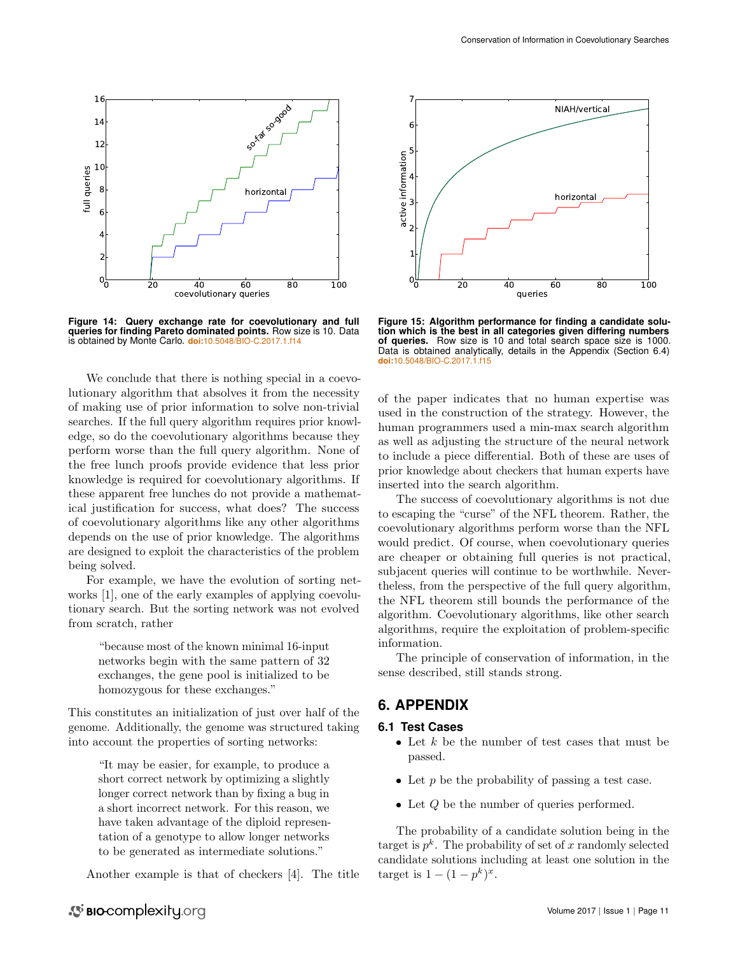

<span id="page-10-1"></span>**Figure 14: Query exchange rate for coevolutionary and full queries for finding Pareto dominated points.** Row size is 10. Data is obtained by Monte Carlo. **doi:**[10.5048/BIO-C.2017.1.f14](http://dx.doi.org/10.5048/BIO-C.2017.1.f14)

We conclude that there is nothing special in a coevolutionary algorithm that absolves it from the necessity of making use of prior information to solve non-trivial searches. If the full query algorithm requires prior knowledge, so do the coevolutionary algorithms because they perform worse than the full query algorithm. None of the free lunch proofs provide evidence that less prior knowledge is required for coevolutionary algorithms. If these apparent free lunches do not provide a mathematical justification for success, what does? The success of coevolutionary algorithms like any other algorithms depends on the use of prior knowledge. The algorithms are designed to exploit the characteristics of the problem being solved.

For example, we have the evolution of sorting networks [\[1\]](#page-13-0), one of the early examples of applying coevolutionary search. But the sorting network was not evolved from scratch, rather

> "because most of the known minimal 16-input networks begin with the same pattern of 32 exchanges, the gene pool is initialized to be homozygous for these exchanges."

This constitutes an initialization of just over half of the genome. Additionally, the genome was structured taking into account the properties of sorting networks:

> "It may be easier, for example, to produce a short correct network by optimizing a slightly longer correct network than by fixing a bug in a short incorrect network. For this reason, we have taken advantage of the diploid representation of a genotype to allow longer networks to be generated as intermediate solutions."

Another example is that of checkers [\[4\]](#page-14-1). The title



<span id="page-10-2"></span>**Figure 15: Algorithm performance for finding a candidate solution which is the best in all categories given differing numbers of queries.** Row size is 10 and total search space size is 1000. Data is obtained analytically, details in the Appendix (Section [6.4\)](#page-13-3) **doi:**[10.5048/BIO-C.2017.1.f15](http://dx.doi.org/10.5048/BIO-C.2017.1.f15)

of the paper indicates that no human expertise was used in the construction of the strategy. However, the human programmers used a min-max search algorithm as well as adjusting the structure of the neural network to include a piece differential. Both of these are uses of prior knowledge about checkers that human experts have inserted into the search algorithm.

The success of coevolutionary algorithms is not due to escaping the "curse" of the NFL theorem. Rather, the coevolutionary algorithms perform worse than the NFL would predict. Of course, when coevolutionary queries are cheaper or obtaining full queries is not practical, subjacent queries will continue to be worthwhile. Nevertheless, from the perspective of the full query algorithm, the NFL theorem still bounds the performance of the algorithm. Coevolutionary algorithms, like other search algorithms, require the exploitation of problem-specific information.

The principle of conservation of information, in the sense described, still stands strong.

# **6. APPENDIX**

#### <span id="page-10-0"></span>**6.1 Test Cases**

- $\bullet$  Let k be the number of test cases that must be passed.
- $\bullet$  Let p be the probability of passing a test case.
- $\bullet$  Let  $Q$  be the number of queries performed.

The probability of a candidate solution being in the target is  $p^k$ . The probability of set of x randomly selected candidate solutions including at least one solution in the target is  $1 - (1 - p^k)^x$ .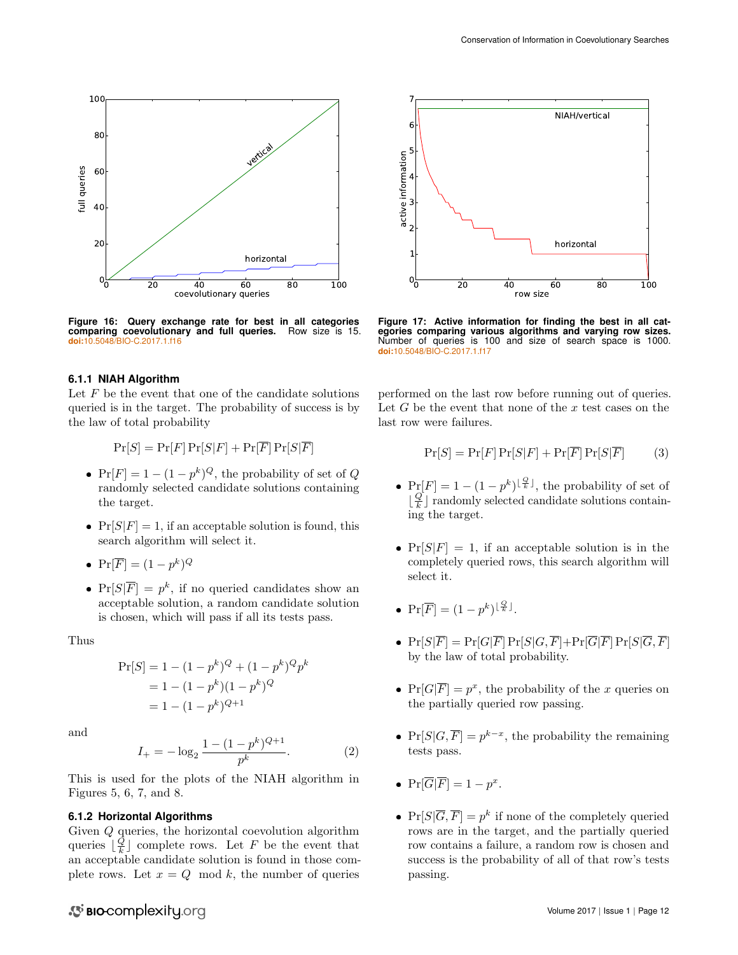

<span id="page-11-0"></span>**Figure 16: Query exchange rate for best in all categories comparing coevolutionary and full queries.** Row size is 15. **doi:**[10.5048/BIO-C.2017.1.f16](http://dx.doi.org/10.5048/BIO-C.2017.1.f16)

#### **6.1.1 NIAH Algorithm**

Let  $F$  be the event that one of the candidate solutions queried is in the target. The probability of success is by the law of total probability

$$
\Pr[S] = \Pr[F] \Pr[S|F] + \Pr[\overline{F}] \Pr[S|\overline{F}]
$$

- $Pr[F] = 1 (1 p^k)^Q$ , the probability of set of Q randomly selected candidate solutions containing the target.
- $Pr[S|F] = 1$ , if an acceptable solution is found, this search algorithm will select it.
- $\Pr[\overline{F}] = (1 p^k)^Q$
- $Pr[S|\overline{F}] = p^k$ , if no queried candidates show an acceptable solution, a random candidate solution is chosen, which will pass if all its tests pass.

Thus

$$
Pr[S] = 1 - (1 - pk)Q + (1 - pk)Qpk
$$
  
= 1 - (1 - p<sup>k</sup>)(1 - p<sup>k</sup>)<sup>Q</sup>  
= 1 - (1 - p<sup>k</sup>)<sup>Q+1</sup>

and

$$
I_{+} = -\log_2 \frac{1 - (1 - p^k)^{Q+1}}{p^k}.
$$
 (2)

This is used for the plots of the NIAH algorithm in Figures [5,](#page-6-0) [6,](#page-6-1) [7,](#page-7-0) and [8.](#page-7-2)

#### **6.1.2 Horizontal Algorithms**

Given Q queries, the horizontal coevolution algorithm queries  $\lfloor \frac{Q}{k} \rfloor$  complete rows. Let F be the event that an acceptable candidate solution is found in those complete rows. Let  $x = Q \mod k$ , the number of queries



<span id="page-11-1"></span>**Figure 17: Active information for finding the best in all cat-egories comparing various algorithms and varying row sizes.** Number of queries is 100 and size of search space is 1000. **doi:**[10.5048/BIO-C.2017.1.f17](http://dx.doi.org/10.5048/BIO-C.2017.1.f17)

performed on the last row before running out of queries. Let  $G$  be the event that none of the  $x$  test cases on the last row were failures.

$$
\Pr[S] = \Pr[F] \Pr[S|F] + \Pr[\overline{F}] \Pr[S|\overline{F}] \tag{3}
$$

- $Pr[F] = 1 (1 p^k)^{\lfloor \frac{Q}{k} \rfloor}$ , the probability of set of  $\lfloor \frac{Q}{k} \rfloor$  randomly selected candidate solutions containing the target.
- $Pr[S|F] = 1$ , if an acceptable solution is in the completely queried rows, this search algorithm will select it.
- $\Pr[\overline{F}] = (1 p^k)^{\lfloor \frac{Q}{k} \rfloor}.$
- $Pr[S|\overline{F}] = Pr[G|\overline{F}]Pr[S|G, \overline{F}] + Pr[\overline{G}|\overline{F}]Pr[S|\overline{G}, \overline{F}]$ by the law of total probability.
- $Pr[G|\overline{F}] = p^x$ , the probability of the x queries on the partially queried row passing.
- $Pr[S|G,\overline{F}] = p^{k-x}$ , the probability the remaining tests pass.
- $\Pr[\overline{G}|\overline{F}] = 1 p^x.$
- $Pr[S|\overline{G}, \overline{F}] = p^k$  if none of the completely queried rows are in the target, and the partially queried row contains a failure, a random row is chosen and success is the probability of all of that row's tests passing.

# S BIO-complexity.org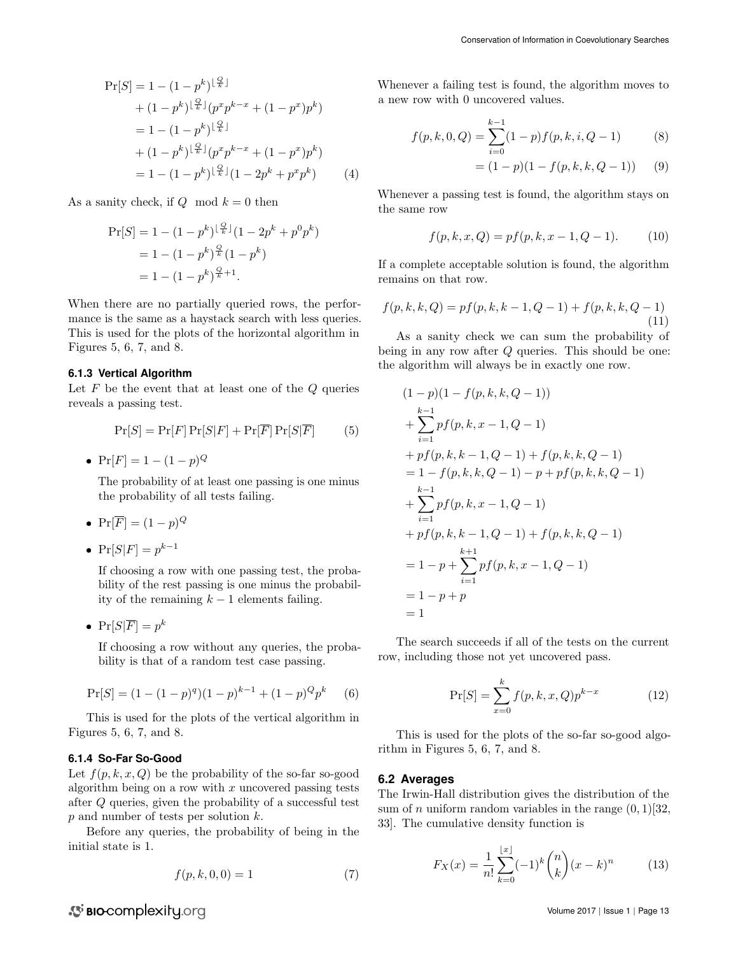$$
\Pr[S] = 1 - (1 - p^k)^{\lfloor \frac{Q}{k} \rfloor} \n+ (1 - p^k)^{\lfloor \frac{Q}{k} \rfloor} (p^x p^{k-x} + (1 - p^x) p^k) \n= 1 - (1 - p^k)^{\lfloor \frac{Q}{k} \rfloor} \n+ (1 - p^k)^{\lfloor \frac{Q}{k} \rfloor} (p^x p^{k-x} + (1 - p^x) p^k) \n= 1 - (1 - p^k)^{\lfloor \frac{Q}{k} \rfloor} (1 - 2p^k + p^x p^k)
$$
\n(4)

As a sanity check, if  $Q \mod k = 0$  then

$$
Pr[S] = 1 - (1 - p^k)^{\lfloor \frac{Q}{k} \rfloor} (1 - 2p^k + p^0 p^k)
$$
  
= 1 - (1 - p^k)^{\frac{Q}{k}} (1 - p^k)  
= 1 - (1 - p^k)^{\frac{Q}{k} + 1}.

When there are no partially queried rows, the performance is the same as a haystack search with less queries. This is used for the plots of the horizontal algorithm in Figures [5,](#page-6-0) [6,](#page-6-1) [7,](#page-7-0) and [8.](#page-7-2)

#### **6.1.3 Vertical Algorithm**

Let  $F$  be the event that at least one of the  $Q$  queries reveals a passing test.

$$
\Pr[S] = \Pr[F] \Pr[S|F] + \Pr[\overline{F}] \Pr[S|\overline{F}] \tag{5}
$$

•  $Pr[F] = 1 - (1 - p)^Q$ 

The probability of at least one passing is one minus the probability of all tests failing.

- $Pr[\overline{F}] = (1-p)^Q$
- $Pr[S|F] = p^{k-1}$

If choosing a row with one passing test, the probability of the rest passing is one minus the probability of the remaining  $k - 1$  elements failing.

•  $Pr[S|\overline{F}] = p^k$ 

If choosing a row without any queries, the probability is that of a random test case passing.

$$
Pr[S] = (1 - (1 - p)^{q})(1 - p)^{k-1} + (1 - p)^{Q}p^{k}
$$
 (6)

This is used for the plots of the vertical algorithm in Figures [5,](#page-6-0) [6,](#page-6-1) [7,](#page-7-0) and [8.](#page-7-2)

#### **6.1.4 So-Far So-Good**

Let  $f(p, k, x, Q)$  be the probability of the so-far so-good algorithm being on a row with  $x$  uncovered passing tests after Q queries, given the probability of a successful test  $p$  and number of tests per solution  $k$ .

Before any queries, the probability of being in the initial state is 1.

$$
f(p, k, 0, 0) = 1 \tag{7}
$$

Whenever a failing test is found, the algorithm moves to a new row with 0 uncovered values.

$$
f(p,k,0,Q) = \sum_{i=0}^{k-1} (1-p)f(p,k,i,Q-1)
$$
(8)  
=  $(1-p)(1-f(p,k,k,Q-1))$  (9)

Whenever a passing test is found, the algorithm stays on

$$
f(p,k,x,Q) = pf(p,k,x-1,Q-1).
$$
 (10)

If a complete acceptable solution is found, the algorithm remains on that row.

$$
f(p,k,k,Q) = pf(p,k,k-1,Q-1) + f(p,k,k,Q-1)
$$
\n(11)

As a sanity check we can sum the probability of being in any row after  $Q$  queries. This should be one: the algorithm will always be in exactly one row.

$$
(1-p)(1 - f(p, k, k, Q - 1))
$$
  
+ 
$$
\sum_{i=1}^{k-1} pf(p, k, x - 1, Q - 1)
$$
  
+ 
$$
pf(p, k, k - 1, Q - 1) + f(p, k, k, Q - 1)
$$
  
= 
$$
1 - f(p, k, k, Q - 1) - p + pf(p, k, k, Q - 1)
$$
  
+ 
$$
\sum_{i=1}^{k-1} pf(p, k, x - 1, Q - 1)
$$
  
+ 
$$
pf(p, k, k - 1, Q - 1) + f(p, k, k, Q - 1)
$$
  
= 
$$
1 - p + \sum_{i=1}^{k+1} pf(p, k, x - 1, Q - 1)
$$
  
= 
$$
1 - p + p
$$
  
= 1

The search succeeds if all of the tests on the current row, including those not yet uncovered pass.

$$
\Pr[S] = \sum_{x=0}^{k} f(p, k, x, Q) p^{k-x}
$$
 (12)

This is used for the plots of the so-far so-good algorithm in Figures [5,](#page-6-0) [6,](#page-6-1) [7,](#page-7-0) and [8.](#page-7-2)

#### <span id="page-12-0"></span>**6.2 Averages**

the same row

The Irwin-Hall distribution gives the distribution of the sum of *n* uniform random variables in the range  $(0, 1)$ [\[32,](#page-14-28) [33\]](#page-14-29). The cumulative density function is

$$
F_X(x) = \frac{1}{n!} \sum_{k=0}^{\lfloor x \rfloor} (-1)^k \binom{n}{k} (x-k)^n \tag{13}
$$

S BIO-complexity.org

Volume 2017 | Issue 1 | Page 13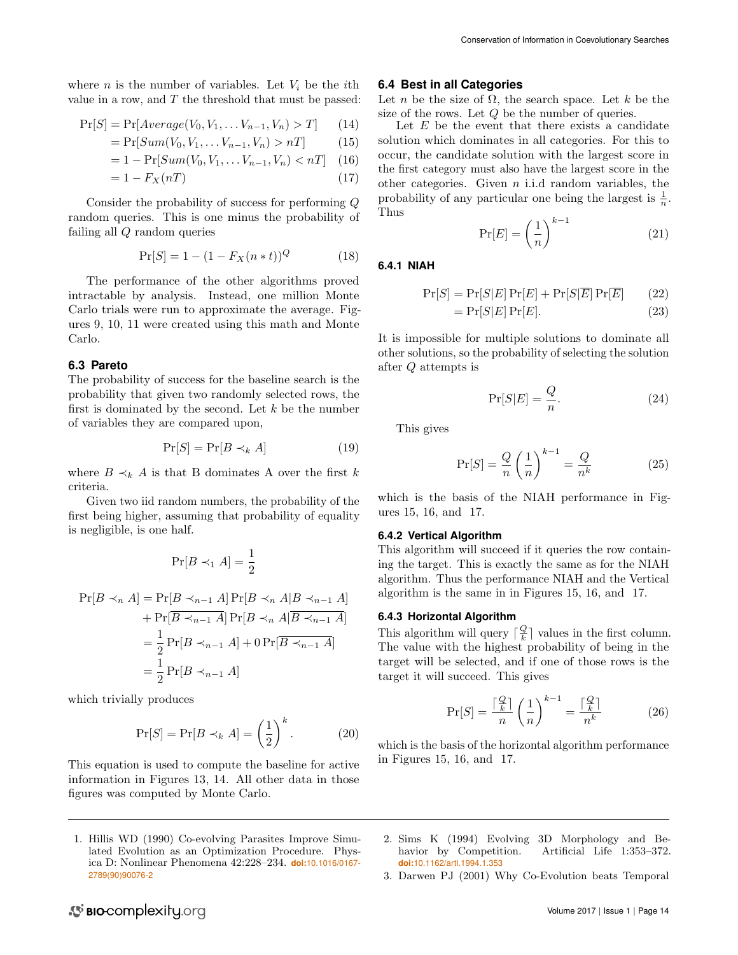where *n* is the number of variables. Let  $V_i$  be the *i*th value in a row, and  $T$  the threshold that must be passed:

$$
Pr[S] = Pr[Average(V_0, V_1, \dots V_{n-1}, V_n) > T] \qquad (14)
$$

$$
= \Pr[Sum(V_0, V_1, \dots V_{n-1}, V_n) > n] \tag{15}
$$

$$
= 1 - \Pr[Sum(V_0, V_1, \dots V_{n-1}, V_n) < n]
$$
\n(16)

$$
=1-F_X(nT) \tag{17}
$$

Consider the probability of success for performing Q random queries. This is one minus the probability of failing all Q random queries

$$
Pr[S] = 1 - (1 - F_X(n * t))^Q
$$
 (18)

The performance of the other algorithms proved intractable by analysis. Instead, one million Monte Carlo trials were run to approximate the average. Figures [9,](#page-7-4) [10,](#page-8-0) [11](#page-8-1) were created using this math and Monte Carlo.

## **6.3 Pareto**

The probability of success for the baseline search is the probability that given two randomly selected rows, the first is dominated by the second. Let  $k$  be the number of variables they are compared upon,

$$
\Pr[S] = \Pr[B \prec_k A] \tag{19}
$$

where  $B \prec_k A$  is that B dominates A over the first k criteria.

Given two iid random numbers, the probability of the first being higher, assuming that probability of equality is negligible, is one half.

$$
\Pr[B \prec_1 A] = \frac{1}{2}
$$

$$
\Pr[B \prec_n A] = \Pr[B \prec_{n-1} A] \Pr[B \prec_n A | B \prec_{n-1} A]
$$

$$
+ \Pr[\overline{B \prec_{n-1} A}] \Pr[B \prec_n A | \overline{B \prec_{n-1} A}]
$$

$$
= \frac{1}{2} \Pr[B \prec_{n-1} A] + 0 \Pr[\overline{B \prec_{n-1} A}]
$$

$$
= \frac{1}{2} \Pr[B \prec_{n-1} A]
$$

which trivially produces

$$
\Pr[S] = \Pr[B \prec_k A] = \left(\frac{1}{2}\right)^k. \tag{20}
$$

This equation is used to compute the baseline for active information in Figures [13,](#page-9-1) [14.](#page-10-1) All other data in those figures was computed by Monte Carlo.

#### **6.4 Best in all Categories**

Let n be the size of  $\Omega$ , the search space. Let k be the size of the rows. Let Q be the number of queries.

Let  $E$  be the event that there exists a candidate solution which dominates in all categories. For this to occur, the candidate solution with the largest score in the first category must also have the largest score in the other categories. Given  $n$  i.i.d random variables, the probability of any particular one being the largest is  $\frac{1}{n}$ . Thus

$$
\Pr[E] = \left(\frac{1}{n}\right)^{k-1} \tag{21}
$$

#### **6.4.1 NIAH**

$$
\Pr[S] = \Pr[S|E]\Pr[E] + \Pr[S|\overline{E}]\Pr[\overline{E}] \tag{22}
$$

$$
= \Pr[S|E] \Pr[E]. \tag{23}
$$

It is impossible for multiple solutions to dominate all other solutions, so the probability of selecting the solution after Q attempts is

$$
\Pr[S|E] = \frac{Q}{n}.\tag{24}
$$

This gives

$$
\Pr[S] = \frac{Q}{n} \left(\frac{1}{n}\right)^{k-1} = \frac{Q}{n^k} \tag{25}
$$

which is the basis of the NIAH performance in Figures [15,](#page-10-2) [16,](#page-11-0) and [17.](#page-11-1)

#### **6.4.2 Vertical Algorithm**

This algorithm will succeed if it queries the row containing the target. This is exactly the same as for the NIAH algorithm. Thus the performance NIAH and the Vertical algorithm is the same in in Figures [15,](#page-10-2) [16,](#page-11-0) and [17.](#page-11-1)

#### **6.4.3 Horizontal Algorithm**

This algorithm will query  $\lceil \frac{Q}{k} \rceil$  values in the first column. The value with the highest probability of being in the target will be selected, and if one of those rows is the target it will succeed. This gives

$$
\Pr[S] = \frac{\lceil \frac{Q}{k} \rceil}{n} \left(\frac{1}{n}\right)^{k-1} = \frac{\lceil \frac{Q}{k} \rceil}{n^k} \tag{26}
$$

which is the basis of the horizontal algorithm performance in Figures [15,](#page-10-2) [16,](#page-11-0) and [17.](#page-11-1)

- <span id="page-13-3"></span><span id="page-13-0"></span>1. Hillis WD (1990) Co-evolving Parasites Improve Simulated Evolution as an Optimization Procedure. Physica D: Nonlinear Phenomena 42:228–234. **doi:**[10.1016/0167-](http://dx.doi.org/10.1016/0167-2789(90)90076-2) [2789\(90\)90076-2](http://dx.doi.org/10.1016/0167-2789(90)90076-2)
- <span id="page-13-1"></span>2. Sims K (1994) Evolving 3D Morphology and Behavior by Competition. Artificial Life 1:353-372. **doi:**[10.1162/artl.1994.1.353](http://dx.doi.org/10.1162/artl.1994.1.353)
- <span id="page-13-2"></span>3. Darwen PJ (2001) Why Co-Evolution beats Temporal